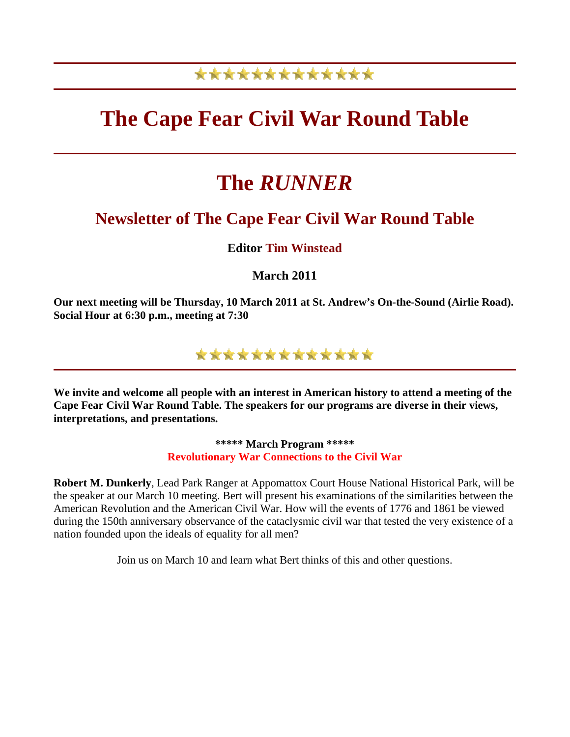## \*\*\*\*\*\*\*\*\*\*\*\*\*

## **The Cape Fear Civil War Round Table**

# **The** *RUNNER*

### **Newsletter of The Cape Fear Civil War Round Table**

### **Editor Tim Winstead**

**March 2011** 

**Our next meeting will be Thursday, 10 March 2011 at St. Andrew's On-the-Sound (Airlie Road). Social Hour at 6:30 p.m., meeting at 7:30**



**We invite and welcome all people with an interest in American history to attend a meeting of the Cape Fear Civil War Round Table. The speakers for our programs are diverse in their views, interpretations, and presentations.** 

> **\*\*\*\*\* March Program \*\*\*\*\* Revolutionary War Connections to the Civil War**

**Robert M. Dunkerly**, Lead Park Ranger at Appomattox Court House National Historical Park, will be the speaker at our March 10 meeting. Bert will present his examinations of the similarities between the American Revolution and the American Civil War. How will the events of 1776 and 1861 be viewed during the 150th anniversary observance of the cataclysmic civil war that tested the very existence of a nation founded upon the ideals of equality for all men?

Join us on March 10 and learn what Bert thinks of this and other questions.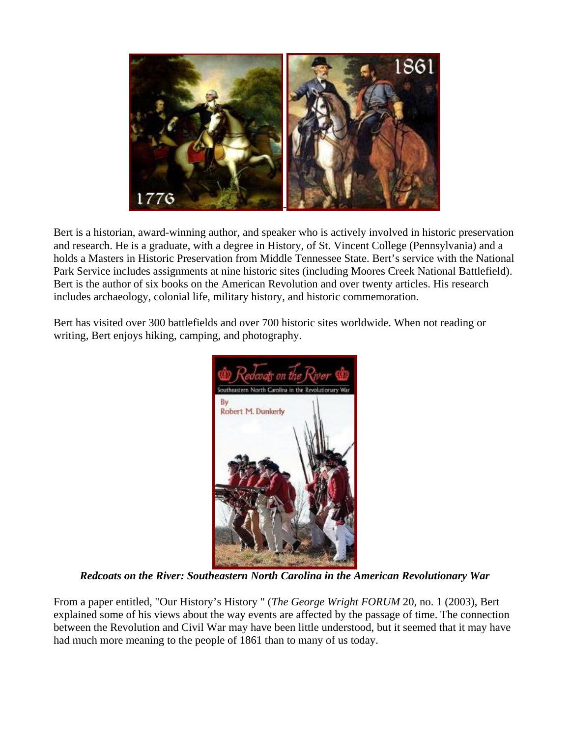

Bert is a historian, award-winning author, and speaker who is actively involved in historic preservation and research. He is a graduate, with a degree in History, of St. Vincent College (Pennsylvania) and a holds a Masters in Historic Preservation from Middle Tennessee State. Bert's service with the National Park Service includes assignments at nine historic sites (including Moores Creek National Battlefield). Bert is the author of six books on the American Revolution and over twenty articles. His research includes archaeology, colonial life, military history, and historic commemoration.

Bert has visited over 300 battlefields and over 700 historic sites worldwide. When not reading or writing, Bert enjoys hiking, camping, and photography.



*Redcoats on the River: Southeastern North Carolina in the American Revolutionary War*

From a paper entitled, "Our History's History " (*The George Wright FORUM* 20, no. 1 (2003), Bert explained some of his views about the way events are affected by the passage of time. The connection between the Revolution and Civil War may have been little understood, but it seemed that it may have had much more meaning to the people of 1861 than to many of us today.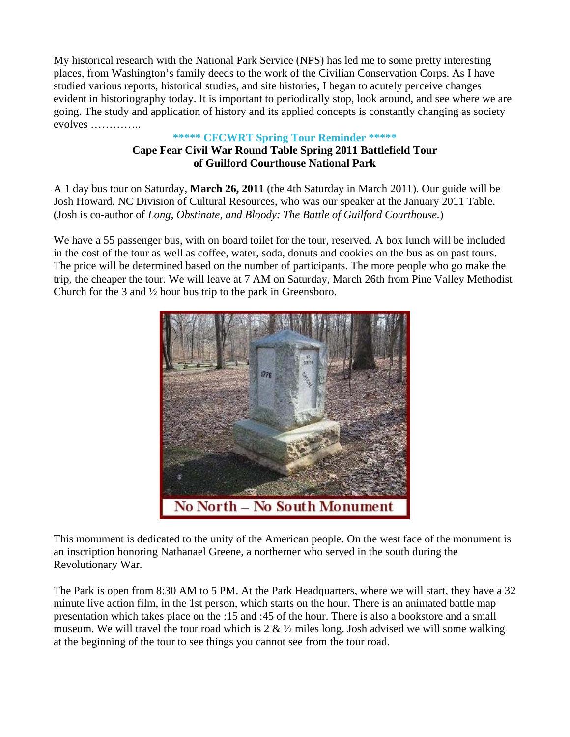My historical research with the National Park Service (NPS) has led me to some pretty interesting places, from Washington's family deeds to the work of the Civilian Conservation Corps. As I have studied various reports, historical studies, and site histories, I began to acutely perceive changes evident in historiography today. It is important to periodically stop, look around, and see where we are going. The study and application of history and its applied concepts is constantly changing as society evolves …………..

#### **\*\*\*\*\* CFCWRT Spring Tour Reminder \*\*\*\*\* Cape Fear Civil War Round Table Spring 2011 Battlefield Tour of Guilford Courthouse National Park**

A 1 day bus tour on Saturday, **March 26, 2011** (the 4th Saturday in March 2011). Our guide will be Josh Howard, NC Division of Cultural Resources, who was our speaker at the January 2011 Table. (Josh is co-author of *Long, Obstinate, and Bloody: The Battle of Guilford Courthouse.*)

We have a 55 passenger bus, with on board toilet for the tour, reserved. A box lunch will be included in the cost of the tour as well as coffee, water, soda, donuts and cookies on the bus as on past tours. The price will be determined based on the number of participants. The more people who go make the trip, the cheaper the tour. We will leave at 7 AM on Saturday, March 26th from Pine Valley Methodist Church for the 3 and ½ hour bus trip to the park in Greensboro.



This monument is dedicated to the unity of the American people. On the west face of the monument is an inscription honoring Nathanael Greene, a northerner who served in the south during the Revolutionary War.

The Park is open from 8:30 AM to 5 PM. At the Park Headquarters, where we will start, they have a 32 minute live action film, in the 1st person, which starts on the hour. There is an animated battle map presentation which takes place on the :15 and :45 of the hour. There is also a bookstore and a small museum. We will travel the tour road which is  $2 \& 1/2$  miles long. Josh advised we will some walking at the beginning of the tour to see things you cannot see from the tour road.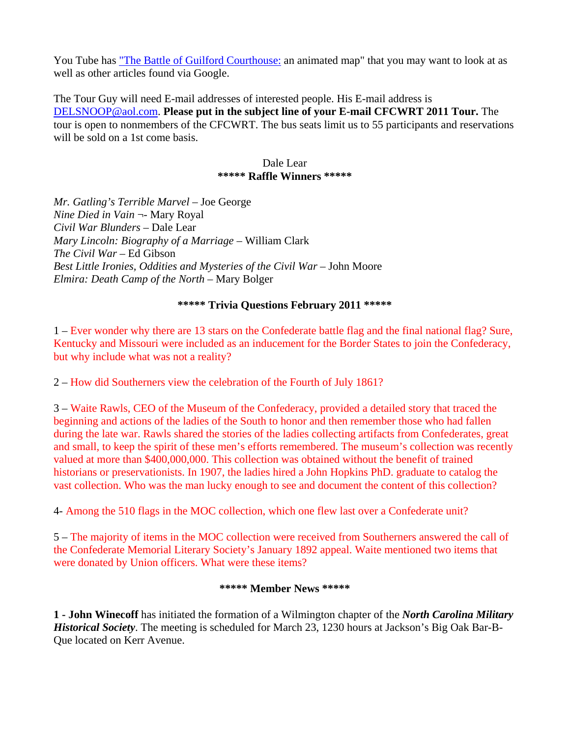You Tube has ["The Battle of Guilford Courthouse:](http://www.youtube.com/watch?v=XpiretI7BHM) an animated map" that you may want to look at as well as other articles found via Google.

The Tour Guy will need E-mail addresses of interested people. His E-mail address is [DELSNOOP@aol.com.](mailto:DELSNOOP@aol.com) **Please put in the subject line of your E-mail CFCWRT 2011 Tour.** The tour is open to nonmembers of the CFCWRT. The bus seats limit us to 55 participants and reservations will be sold on a 1st come basis.

#### Dale Lear **\*\*\*\*\* Raffle Winners \*\*\*\*\***

*Mr. Gatling's Terrible Marvel* – Joe George *Nine Died in Vain* ¬- Mary Royal *Civil War Blunders* – Dale Lear *Mary Lincoln: Biography of a Marriage* – William Clark *The Civil War* – Ed Gibson *Best Little Ironies, Oddities and Mysteries of the Civil War* – John Moore *Elmira: Death Camp of the North* – Mary Bolger

#### **\*\*\*\*\* Trivia Questions February 2011 \*\*\*\*\***

1 – Ever wonder why there are 13 stars on the Confederate battle flag and the final national flag? Sure, Kentucky and Missouri were included as an inducement for the Border States to join the Confederacy, but why include what was not a reality?

2 – How did Southerners view the celebration of the Fourth of July 1861?

3 – Waite Rawls, CEO of the Museum of the Confederacy, provided a detailed story that traced the beginning and actions of the ladies of the South to honor and then remember those who had fallen during the late war. Rawls shared the stories of the ladies collecting artifacts from Confederates, great and small, to keep the spirit of these men's efforts remembered. The museum's collection was recently valued at more than \$400,000,000. This collection was obtained without the benefit of trained historians or preservationists. In 1907, the ladies hired a John Hopkins PhD. graduate to catalog the vast collection. Who was the man lucky enough to see and document the content of this collection?

4- Among the 510 flags in the MOC collection, which one flew last over a Confederate unit?

5 – The majority of items in the MOC collection were received from Southerners answered the call of the Confederate Memorial Literary Society's January 1892 appeal. Waite mentioned two items that were donated by Union officers. What were these items?

#### **\*\*\*\*\* Member News \*\*\*\*\***

**1 - John Winecoff** has initiated the formation of a Wilmington chapter of the *North Carolina Military Historical Society*. The meeting is scheduled for March 23, 1230 hours at Jackson's Big Oak Bar-B-Que located on Kerr Avenue.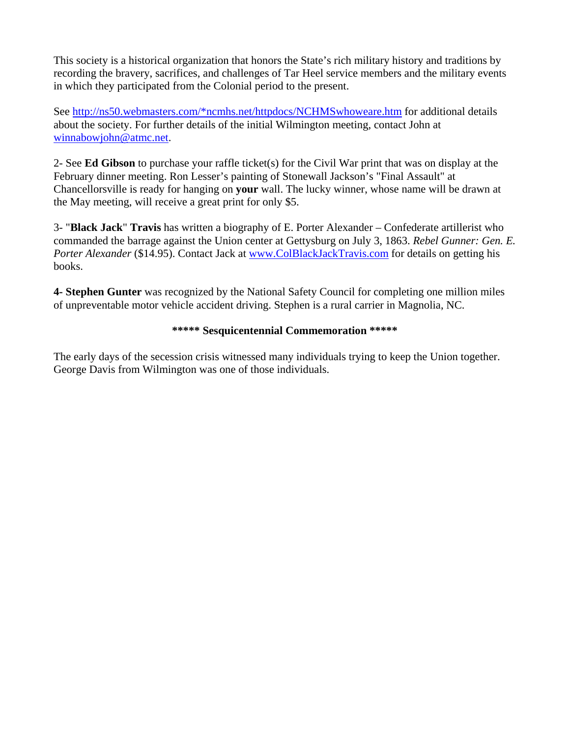This society is a historical organization that honors the State's rich military history and traditions by recording the bravery, sacrifices, and challenges of Tar Heel service members and the military events in which they participated from the Colonial period to the present.

See [http://ns50.webmasters.com/\\*ncmhs.net/httpdocs/NCHMSwhoweare.htm](http://ns50.webmasters.com/*ncmhs.net/httpdocs/NCHMSwhoweare.htm) for addi[ti](mailto:%20winnabowjohn@atmc.net)onal details about the society. For further details of the initial Wilmington meeting, contact John at [winnabowjohn@atmc.net](mailto:%20winnabowjohn@atmc.net).

2- See **Ed Gibson** to purchase your raffle ticket(s) for the Civil War print that was on display at the February dinner meeting. Ron Lesser's painting of Stonewall Jackson's "Final Assault" at Chancellorsville is ready for hanging on **your** wall. The lucky winner, whose name will be drawn at the May meeting, will receive a great print for only \$5.

3- "**Black Jack**" **Travis** has written a biography of E. Porter Alexander – Confederate artillerist who commanded the barrage against the Union center at Gettysburg on July 3, 1863. *Rebel Gunner: Gen. E. Porter Alexander* (\$14.95). Contact Jack at [www.ColBlackJackTravis.com](http://www.colblackjacktravis.com/) for details on getting his books.

**4- Stephen Gunter** was recognized by the National Safety Council for completing one million miles of unpreventable motor vehicle accident driving. Stephen is a rural carrier in Magnolia, NC.

#### **\*\*\*\*\* Sesquicentennial Commemoration \*\*\*\*\***

The early days of the secession crisis witnessed many individuals trying to keep the Union together. George Davis from Wilmington was one of those individuals.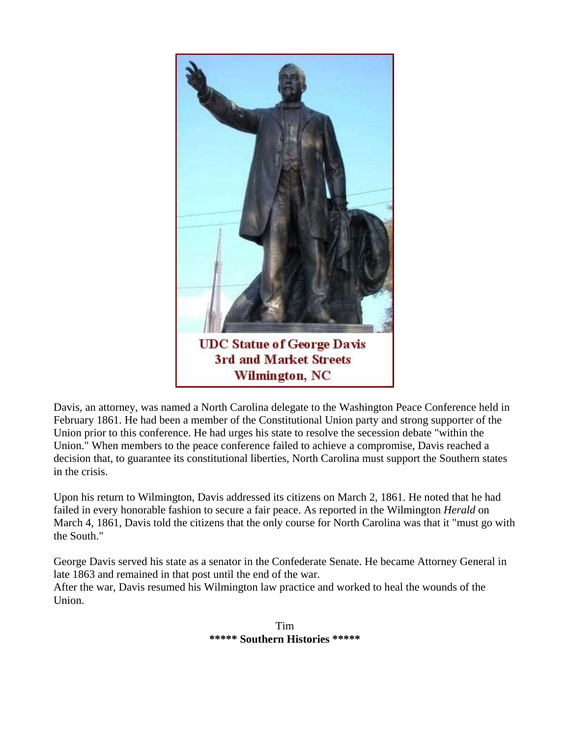

Davis, an attorney, was named a North Carolina delegate to the Washington Peace Conference held in February 1861. He had been a member of the Constitutional Union party and strong supporter of the Union prior to this conference. He had urges his state to resolve the secession debate "within the Union." When members to the peace conference failed to achieve a compromise, Davis reached a decision that, to guarantee its constitutional liberties, North Carolina must support the Southern states in the crisis.

Upon his return to Wilmington, Davis addressed its citizens on March 2, 1861. He noted that he had failed in every honorable fashion to secure a fair peace. As reported in the Wilmington *Herald* on March 4, 1861, Davis told the citizens that the only course for North Carolina was that it "must go with the South."

George Davis served his state as a senator in the Confederate Senate. He became Attorney General in late 1863 and remained in that post until the end of the war. After the war, Davis resumed his Wilmington law practice and worked to heal the wounds of the Union.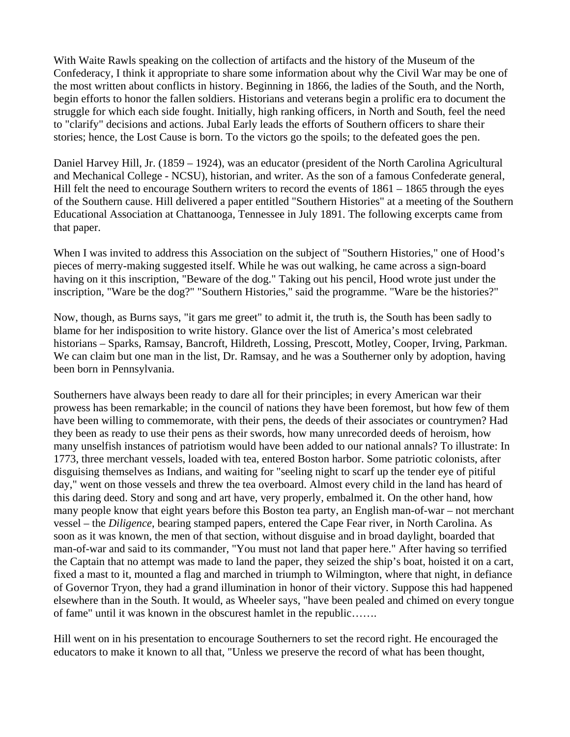With Waite Rawls speaking on the collection of artifacts and the history of the Museum of the Confederacy, I think it appropriate to share some information about why the Civil War may be one of the most written about conflicts in history. Beginning in 1866, the ladies of the South, and the North, begin efforts to honor the fallen soldiers. Historians and veterans begin a prolific era to document the struggle for which each side fought. Initially, high ranking officers, in North and South, feel the need to "clarify" decisions and actions. Jubal Early leads the efforts of Southern officers to share their stories; hence, the Lost Cause is born. To the victors go the spoils; to the defeated goes the pen.

Daniel Harvey Hill, Jr. (1859 – 1924), was an educator (president of the North Carolina Agricultural and Mechanical College - NCSU), historian, and writer. As the son of a famous Confederate general, Hill felt the need to encourage Southern writers to record the events of 1861 – 1865 through the eyes of the Southern cause. Hill delivered a paper entitled "Southern Histories" at a meeting of the Southern Educational Association at Chattanooga, Tennessee in July 1891. The following excerpts came from that paper.

When I was invited to address this Association on the subject of "Southern Histories," one of Hood's pieces of merry-making suggested itself. While he was out walking, he came across a sign-board having on it this inscription, "Beware of the dog." Taking out his pencil, Hood wrote just under the inscription, "Ware be the dog?" "Southern Histories," said the programme. "Ware be the histories?"

Now, though, as Burns says, "it gars me greet" to admit it, the truth is, the South has been sadly to blame for her indisposition to write history. Glance over the list of America's most celebrated historians – Sparks, Ramsay, Bancroft, Hildreth, Lossing, Prescott, Motley, Cooper, Irving, Parkman. We can claim but one man in the list, Dr. Ramsay, and he was a Southerner only by adoption, having been born in Pennsylvania.

Southerners have always been ready to dare all for their principles; in every American war their prowess has been remarkable; in the council of nations they have been foremost, but how few of them have been willing to commemorate, with their pens, the deeds of their associates or countrymen? Had they been as ready to use their pens as their swords, how many unrecorded deeds of heroism, how many unselfish instances of patriotism would have been added to our national annals? To illustrate: In 1773, three merchant vessels, loaded with tea, entered Boston harbor. Some patriotic colonists, after disguising themselves as Indians, and waiting for "seeling night to scarf up the tender eye of pitiful day," went on those vessels and threw the tea overboard. Almost every child in the land has heard of this daring deed. Story and song and art have, very properly, embalmed it. On the other hand, how many people know that eight years before this Boston tea party, an English man-of-war – not merchant vessel – the *Diligence*, bearing stamped papers, entered the Cape Fear river, in North Carolina. As soon as it was known, the men of that section, without disguise and in broad daylight, boarded that man-of-war and said to its commander, "You must not land that paper here." After having so terrified the Captain that no attempt was made to land the paper, they seized the ship's boat, hoisted it on a cart, fixed a mast to it, mounted a flag and marched in triumph to Wilmington, where that night, in defiance of Governor Tryon, they had a grand illumination in honor of their victory. Suppose this had happened elsewhere than in the South. It would, as Wheeler says, "have been pealed and chimed on every tongue of fame" until it was known in the obscurest hamlet in the republic…….

Hill went on in his presentation to encourage Southerners to set the record right. He encouraged the educators to make it known to all that, "Unless we preserve the record of what has been thought,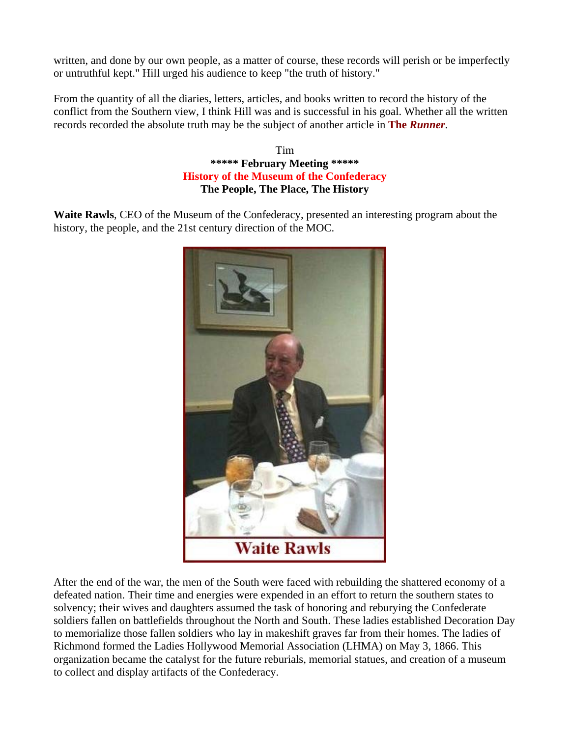written, and done by our own people, as a matter of course, these records will perish or be imperfectly or untruthful kept." Hill urged his audience to keep "the truth of history."

From the quantity of all the diaries, letters, articles, and books written to record the history of the conflict from the Southern view, I think Hill was and is successful in his goal. Whether all the written records recorded the absolute truth may be the subject of another article in **The** *Runner*.

> Tim **\*\*\*\*\* February Meeting \*\*\*\*\* History of the Museum of the Confederacy The People, The Place, The History**

**Waite Rawls**, CEO of the Museum of the Confederacy, presented an interesting program about the history, the people, and the 21st century direction of the MOC.



After the end of the war, the men of the South were faced with rebuilding the shattered economy of a defeated nation. Their time and energies were expended in an effort to return the southern states to solvency; their wives and daughters assumed the task of honoring and reburying the Confederate soldiers fallen on battlefields throughout the North and South. These ladies established Decoration Day to memorialize those fallen soldiers who lay in makeshift graves far from their homes. The ladies of Richmond formed the Ladies Hollywood Memorial Association (LHMA) on May 3, 1866. This organization became the catalyst for the future reburials, memorial statues, and creation of a museum to collect and display artifacts of the Confederacy.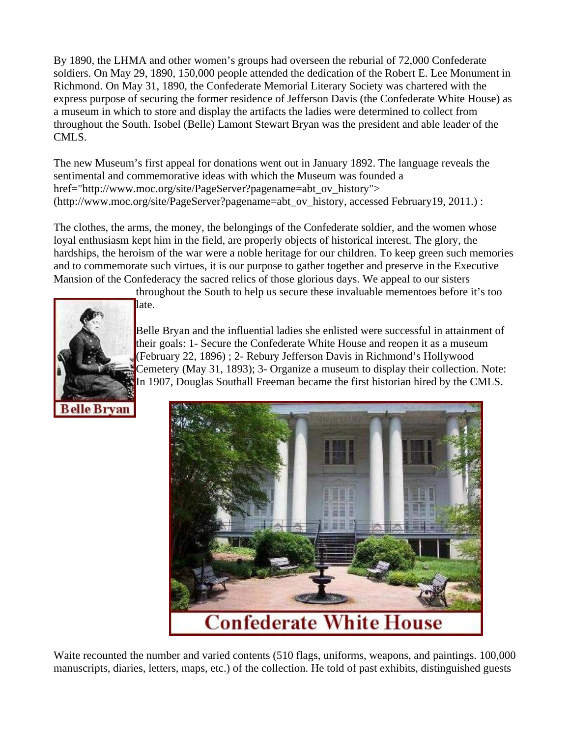By 1890, the LHMA and other women's groups had overseen the reburial of 72,000 Confederate soldiers. On May 29, 1890, 150,000 people attended the dedication of the Robert E. Lee Monument in Richmond. On May 31, 1890, the Confederate Memorial Literary Society was chartered with the express purpose of securing the former residence of Jefferson Davis (the Confederate White House) as a museum in which to store and display the artifacts the ladies were determined to collect from throughout the South. Isobel (Belle) Lamont Stewart Bryan was the president and able leader of the CMLS.

The new Museum's first appeal for donations went out in January 1892. The language reveals the sentimental and commemorative ideas with which the Museum was founded a href="http://www.moc.org/site/PageServer?pagename=abt\_ov\_history"> (http://www.moc.org/site/PageServer?pagename=abt\_ov\_history, accessed February19, 2011.) :

The clothes, the arms, the money, the belongings of the Confederate soldier, and the women whose loyal enthusiasm kept him in the field, are properly objects of historical interest. The glory, the hardships, the heroism of the war were a noble heritage for our children. To keep green such memories and to commemorate such virtues, it is our purpose to gather together and preserve in the Executive Mansion of the Confederacy the sacred relics of those glorious days. We appeal to our sisters



throughout the South to help us secure these invaluable mementoes before it's too

Belle Bryan and the influential ladies she enlisted were successful in attainment of their goals: 1- Secure the Confederate White House and reopen it as a museum (February 22, 1896) ; 2- Rebury Jefferson Davis in Richmond's Hollywood Cemetery (May 31, 1893); 3- Organize a museum to display their collection. Note: In 1907, Douglas Southall Freeman became the first historian hired by the CMLS.





Waite recounted the number and varied contents (510 flags, uniforms, weapons, and paintings. 100,000 manuscripts, diaries, letters, maps, etc.) of the collection. He told of past exhibits, distinguished guests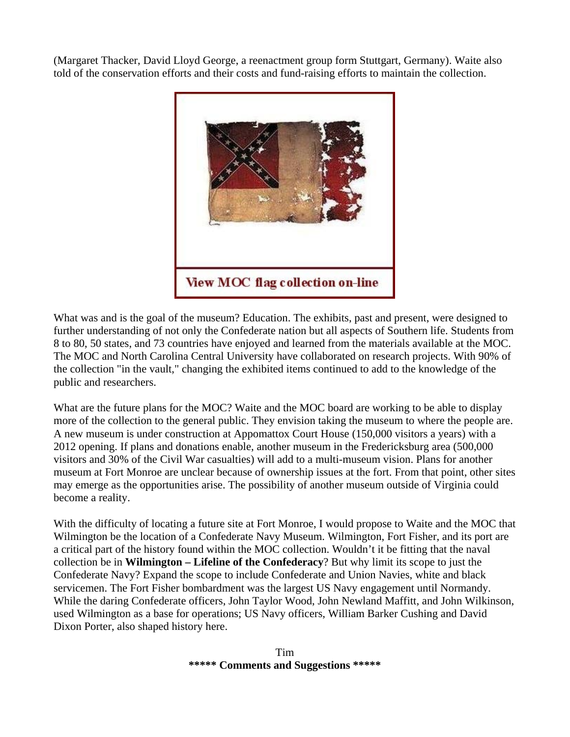(Margaret Thacker, David Lloyd George, a reenactment group form Stuttgart, Germany). Waite also told of the conservation efforts and their costs and fund-raising efforts to maintain the collection.



What was and is the goal of the museum? Education. The exhibits, past and present, were designed to further understanding of not only the Confederate nation but all aspects of Southern life. Students from 8 to 80, 50 states, and 73 countries have enjoyed and learned from the materials available at the MOC. The MOC and North Carolina Central University have collaborated on research projects. With 90% of the collection "in the vault," changing the exhibited items continued to add to the knowledge of the public and researchers.

What are the future plans for the MOC? Waite and the MOC board are working to be able to display more of the collection to the general public. They envision taking the museum to where the people are. A new museum is under construction at Appomattox Court House (150,000 visitors a years) with a 2012 opening. If plans and donations enable, another museum in the Fredericksburg area (500,000 visitors and 30% of the Civil War casualties) will add to a multi-museum vision. Plans for another museum at Fort Monroe are unclear because of ownership issues at the fort. From that point, other sites may emerge as the opportunities arise. The possibility of another museum outside of Virginia could become a reality.

With the difficulty of locating a future site at Fort Monroe, I would propose to Waite and the MOC that Wilmington be the location of a Confederate Navy Museum. Wilmington, Fort Fisher, and its port are a critical part of the history found within the MOC collection. Wouldn't it be fitting that the naval collection be in **Wilmington – Lifeline of the Confederacy**? But why limit its scope to just the Confederate Navy? Expand the scope to include Confederate and Union Navies, white and black servicemen. The Fort Fisher bombardment was the largest US Navy engagement until Normandy. While the daring Confederate officers, John Taylor Wood, John Newland Maffitt, and John Wilkinson, used Wilmington as a base for operations; US Navy officers, William Barker Cushing and David Dixon Porter, also shaped history here.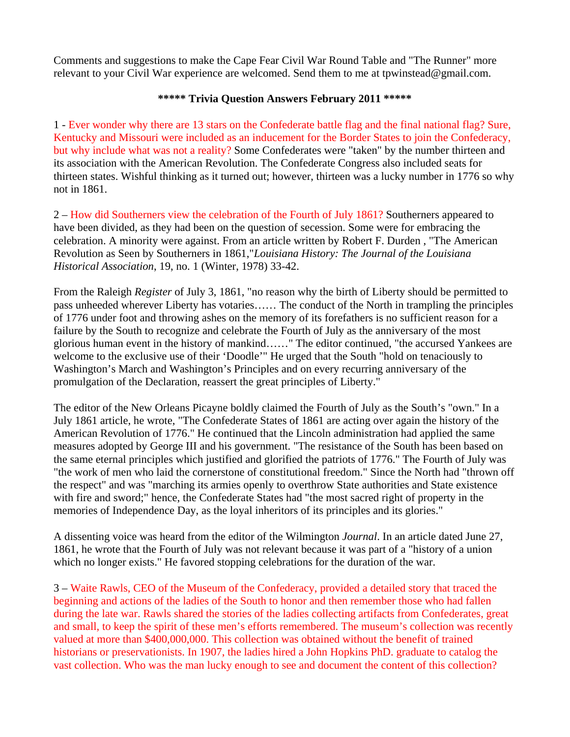Comments and suggestions to make the Cape Fear Civil War Round Table and "The Runner" more relevant to your Civil War experience are welcomed. Send them to me at tpwinstead@gmail.com.

#### **\*\*\*\*\* Trivia Question Answers February 2011 \*\*\*\*\***

1 - Ever wonder why there are 13 stars on the Confederate battle flag and the final national flag? Sure, Kentucky and Missouri were included as an inducement for the Border States to join the Confederacy, but why include what was not a reality? Some Confederates were "taken" by the number thirteen and its association with the American Revolution. The Confederate Congress also included seats for thirteen states. Wishful thinking as it turned out; however, thirteen was a lucky number in 1776 so why not in 1861.

2 – How did Southerners view the celebration of the Fourth of July 1861? Southerners appeared to have been divided, as they had been on the question of secession. Some were for embracing the celebration. A minority were against. From an article written by Robert F. Durden , "The American Revolution as Seen by Southerners in 1861,"*Louisiana History: The Journal of the Louisiana Historical Association*, 19, no. 1 (Winter, 1978) 33-42.

From the Raleigh *Register* of July 3, 1861, "no reason why the birth of Liberty should be permitted to pass unheeded wherever Liberty has votaries…… The conduct of the North in trampling the principles of 1776 under foot and throwing ashes on the memory of its forefathers is no sufficient reason for a failure by the South to recognize and celebrate the Fourth of July as the anniversary of the most glorious human event in the history of mankind……" The editor continued, "the accursed Yankees are welcome to the exclusive use of their 'Doodle'" He urged that the South "hold on tenaciously to Washington's March and Washington's Principles and on every recurring anniversary of the promulgation of the Declaration, reassert the great principles of Liberty."

The editor of the New Orleans Picayne boldly claimed the Fourth of July as the South's "own." In a July 1861 article, he wrote, "The Confederate States of 1861 are acting over again the history of the American Revolution of 1776." He continued that the Lincoln administration had applied the same measures adopted by George III and his government. "The resistance of the South has been based on the same eternal principles which justified and glorified the patriots of 1776." The Fourth of July was "the work of men who laid the cornerstone of constitutional freedom." Since the North had "thrown off the respect" and was "marching its armies openly to overthrow State authorities and State existence with fire and sword;" hence, the Confederate States had "the most sacred right of property in the memories of Independence Day, as the loyal inheritors of its principles and its glories."

A dissenting voice was heard from the editor of the Wilmington *Journal*. In an article dated June 27, 1861, he wrote that the Fourth of July was not relevant because it was part of a "history of a union which no longer exists." He favored stopping celebrations for the duration of the war.

3 – Waite Rawls, CEO of the Museum of the Confederacy, provided a detailed story that traced the beginning and actions of the ladies of the South to honor and then remember those who had fallen during the late war. Rawls shared the stories of the ladies collecting artifacts from Confederates, great and small, to keep the spirit of these men's efforts remembered. The museum's collection was recently valued at more than \$400,000,000. This collection was obtained without the benefit of trained historians or preservationists. In 1907, the ladies hired a John Hopkins PhD. graduate to catalog the vast collection. Who was the man lucky enough to see and document the content of this collection?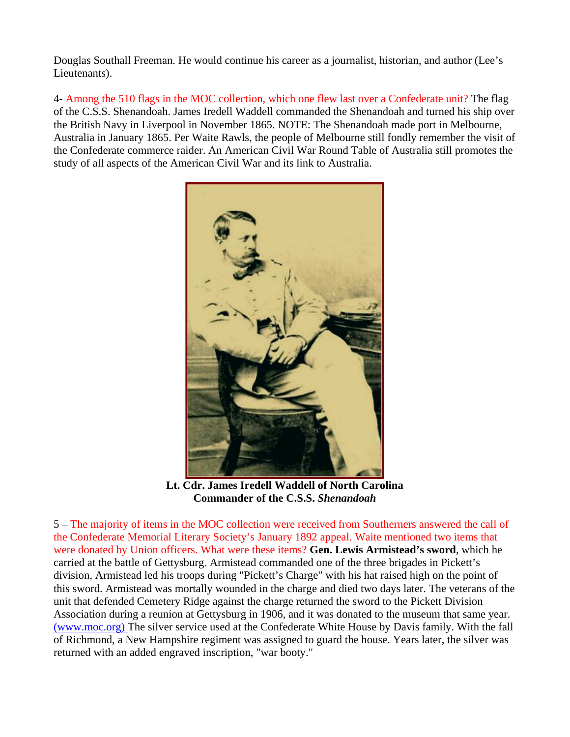Douglas Southall Freeman. He would continue his career as a journalist, historian, and author (Lee's Lieutenants).

4- Among the 510 flags in the MOC collection, which one flew last over a Confederate unit? The flag of the C.S.S. Shenandoah. James Iredell Waddell commanded the Shenandoah and turned his ship over the British Navy in Liverpool in November 1865. NOTE: The Shenandoah made port in Melbourne, Australia in January 1865. Per Waite Rawls, the people of Melbourne still fondly remember the visit of the Confederate commerce raider. An American Civil War Round Table of Australia still promotes the study of all aspects of the American Civil War and its link to Australia.



**Lt. Cdr. James Iredell Waddell of North Carolina Commander of the C.S.S.** *Shenandoah*

5 – The majority of items in the MOC collection were received from Southerners answered the call of the Confederate Memorial Literary Society's January 1892 appeal. Waite mentioned two items that were donated by Union officers. What were these items? **Gen. Lewis Armistead's sword**, which he carried at the battle of Gettysburg. Armistead commanded one of the three brigades in Pickett's division, Armistead led his troops during "Pickett's Charge" with his hat raised high on the point of this sword. Armistead was mortally wounded in the charge and died two days later. The veterans of the unit that defended Cemetery Ridge against the charge returned the sword to the Pickett Division Association during a reunion at Gettysburg in 1906, and it was donated to the museum that same year. [\(www.moc.org\)](http://www.moc.org/) The silver service used at the Confederate White House by Davis family. With the fall of Richmond, a New Hampshire regiment was assigned to guard the house. Years later, the silver was returned with an added engraved inscription, "war booty."